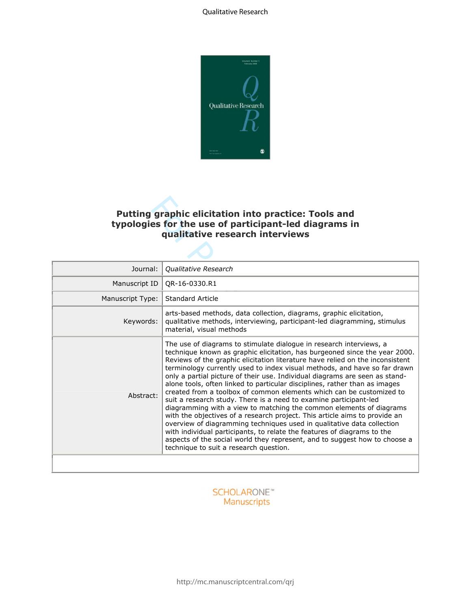

# **Putting graphic elicitation into practice: Tools and typologies for the use of participant-led diagrams in qualitative research interviews**

| <b>Putting graphic elicitation into practice: Tools and</b><br>typologies for the use of participant-led diagrams in<br>qualitative research interviews |                                                                                                                                                                                                                                                                                                                                                                                                                                                                                                                                                                                                                                                                                                                                                                                                                                                                                                                                                                                                                                                             |  |
|---------------------------------------------------------------------------------------------------------------------------------------------------------|-------------------------------------------------------------------------------------------------------------------------------------------------------------------------------------------------------------------------------------------------------------------------------------------------------------------------------------------------------------------------------------------------------------------------------------------------------------------------------------------------------------------------------------------------------------------------------------------------------------------------------------------------------------------------------------------------------------------------------------------------------------------------------------------------------------------------------------------------------------------------------------------------------------------------------------------------------------------------------------------------------------------------------------------------------------|--|
| Journal:                                                                                                                                                | Qualitative Research                                                                                                                                                                                                                                                                                                                                                                                                                                                                                                                                                                                                                                                                                                                                                                                                                                                                                                                                                                                                                                        |  |
| Manuscript ID                                                                                                                                           | OR-16-0330.R1                                                                                                                                                                                                                                                                                                                                                                                                                                                                                                                                                                                                                                                                                                                                                                                                                                                                                                                                                                                                                                               |  |
| Manuscript Type:                                                                                                                                        | Standard Article                                                                                                                                                                                                                                                                                                                                                                                                                                                                                                                                                                                                                                                                                                                                                                                                                                                                                                                                                                                                                                            |  |
| Keywords:                                                                                                                                               | arts-based methods, data collection, diagrams, graphic elicitation,<br>qualitative methods, interviewing, participant-led diagramming, stimulus<br>material, visual methods                                                                                                                                                                                                                                                                                                                                                                                                                                                                                                                                                                                                                                                                                                                                                                                                                                                                                 |  |
| Abstract:                                                                                                                                               | The use of diagrams to stimulate dialogue in research interviews, a<br>technique known as graphic elicitation, has burgeoned since the year 2000.<br>Reviews of the graphic elicitation literature have relied on the inconsistent<br>terminology currently used to index visual methods, and have so far drawn<br>only a partial picture of their use. Individual diagrams are seen as stand-<br>alone tools, often linked to particular disciplines, rather than as images<br>created from a toolbox of common elements which can be customized to<br>suit a research study. There is a need to examine participant-led<br>diagramming with a view to matching the common elements of diagrams<br>with the objectives of a research project. This article aims to provide an<br>overview of diagramming techniques used in qualitative data collection<br>with individual participants, to relate the features of diagrams to the<br>aspects of the social world they represent, and to suggest how to choose a<br>technique to suit a research question. |  |
|                                                                                                                                                         |                                                                                                                                                                                                                                                                                                                                                                                                                                                                                                                                                                                                                                                                                                                                                                                                                                                                                                                                                                                                                                                             |  |

# **SCHOLARONE™** Manuscripts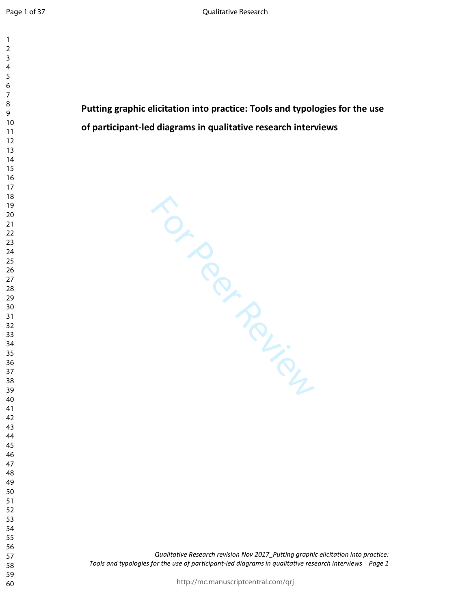$\mathbf{1}$  $\overline{2}$ 

  $\overline{7}$ **Putting graphic elicitation into practice: Tools and typologies for the use of participant-led diagrams in qualitative research interviews**  For Perincip *Qualitative Research revision Nov 2017\_Putting graphic elicitation into practice: Tools and typologies for the use of participant-led diagrams in qualitative research interviews Page 1*  http://mc.manuscriptcentral.com/qrj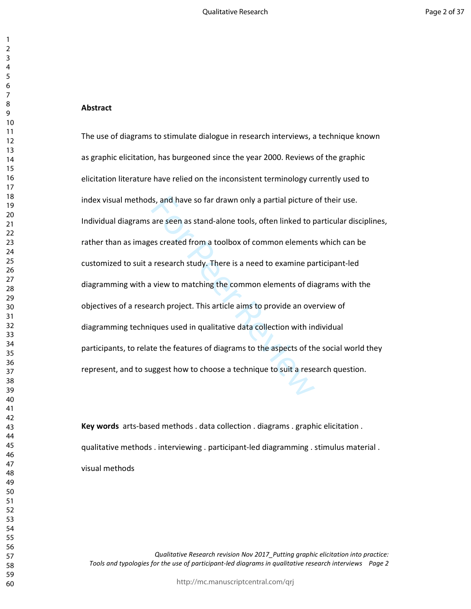#### **Abstract**

Is, and have so far drawn only a partial picture<br>are seen as stand-alone tools, often linked to p<br>es created from a toolbox of common element:<br>research study. There is a need to examine pa<br>view to matching the common eleme The use of diagrams to stimulate dialogue in research interviews, a technique known as graphic elicitation, has burgeoned since the year 2000. Reviews of the graphic elicitation literature have relied on the inconsistent terminology currently used to index visual methods, and have so far drawn only a partial picture of their use. Individual diagrams are seen as stand-alone tools, often linked to particular disciplines, rather than as images created from a toolbox of common elements which can be customized to suit a research study. There is a need to examine participant-led diagramming with a view to matching the common elements of diagrams with the objectives of a research project. This article aims to provide an overview of diagramming techniques used in qualitative data collection with individual participants, to relate the features of diagrams to the aspects of the social world they represent, and to suggest how to choose a technique to suit a research question.

**Key words** arts-based methods . data collection . diagrams . graphic elicitation . qualitative methods . interviewing . participant-led diagramming . stimulus material . visual methods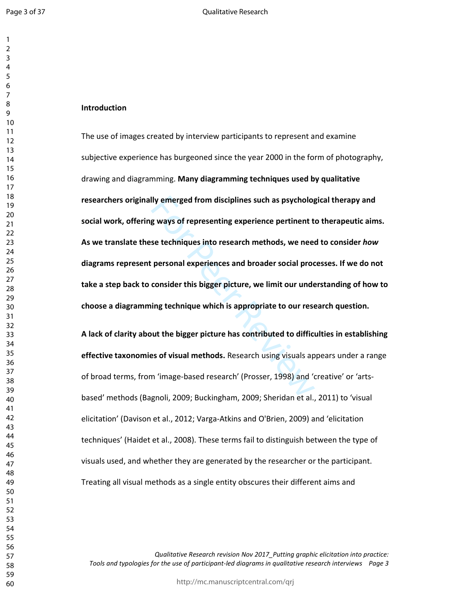#### **Introduction**

Ily emerged from disciplines such as psycholog<br>g ways of representing experience pertinent to<br>se techniques into research methods, we need<br>personal experiences and broader social proc<br>consider this bigger picture, we limit The use of images created by interview participants to represent and examine subjective experience has burgeoned since the year 2000 in the form of photography, drawing and diagramming. **Many diagramming techniques used by qualitative researchers originally emerged from disciplines such as psychological therapy and social work, offering ways of representing experience pertinent to therapeutic aims. As we translate these techniques into research methods, we need to consider** *how* **diagrams represent personal experiences and broader social processes. If we do not take a step back to consider this bigger picture, we limit our understanding of how to choose a diagramming technique which is appropriate to our research question.** 

**A lack of clarity about the bigger picture has contributed to difficulties in establishing effective taxonomies of visual methods.** Research using visuals appears under a range of broad terms, from 'image-based research' (Prosser, 1998) and 'creative' or 'artsbased' methods (Bagnoli, 2009; Buckingham, 2009; Sheridan et al., 2011) to 'visual elicitation' (Davison et al., 2012; Varga-Atkins and O'Brien, 2009) and 'elicitation techniques' (Haidet et al., 2008). These terms fail to distinguish between the type of visuals used, and whether they are generated by the researcher or the participant. Treating all visual methods as a single entity obscures their different aims and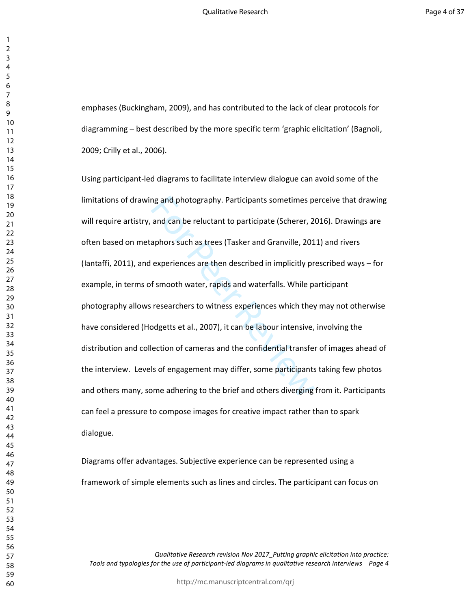emphases (Buckingham, 2009), and has contributed to the lack of clear protocols for diagramming – best described by the more specific term 'graphic elicitation' (Bagnoli, 2009; Crilly et al., 2006).

may and photography. Participants sometimes po<br>and can be reluctant to participate (Scherer, 2<br>aphors such as trees (Tasker and Granville, 201<br>experiences are then described in implicitly pr<br>f smooth water, rapids and wate Using participant-led diagrams to facilitate interview dialogue can avoid some of the limitations of drawing and photography. Participants sometimes perceive that drawing will require artistry, and can be reluctant to participate (Scherer, 2016). Drawings are often based on metaphors such as trees (Tasker and Granville, 2011) and rivers (Iantaffi, 2011), and experiences are then described in implicitly prescribed ways – for example, in terms of smooth water, rapids and waterfalls. While participant photography allows researchers to witness experiences which they may not otherwise have considered (Hodgetts et al., 2007), it can be labour intensive, involving the distribution and collection of cameras and the confidential transfer of images ahead of the interview. Levels of engagement may differ, some participants taking few photos and others many, some adhering to the brief and others diverging from it. Participants can feel a pressure to compose images for creative impact rather than to spark dialogue.

Diagrams offer advantages. Subjective experience can be represented using a framework of simple elements such as lines and circles. The participant can focus on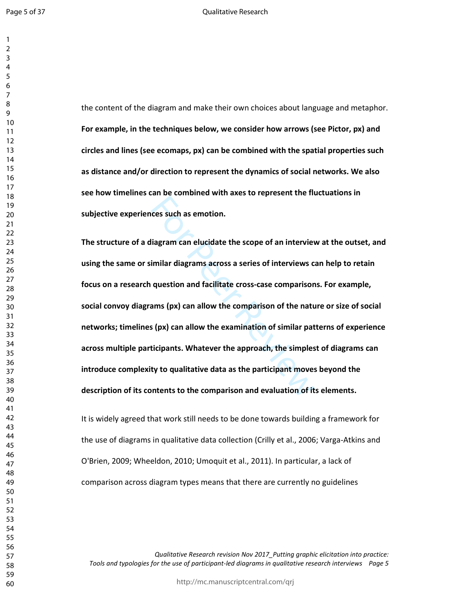the content of the diagram and make their own choices about language and metaphor. **For example, in the techniques below, we consider how arrows (see Pictor, px) and circles and lines (see ecomaps, px) can be combined with the spatial properties such as distance and/or direction to represent the dynamics of social networks. We also see how timelines can be combined with axes to represent the fluctuations in subjective experiences such as emotion.** 

Example 2 consideration and suppression and set of a semotion.<br>
Example 2 consider the scope of an interview consideration and facilitate cross-case comparison<br>
ams (px) can allow the comparison of the nature of the state **The structure of a diagram can elucidate the scope of an interview at the outset, and using the same or similar diagrams across a series of interviews can help to retain focus on a research question and facilitate cross-case comparisons. For example, social convoy diagrams (px) can allow the comparison of the nature or size of social networks; timelines (px) can allow the examination of similar patterns of experience across multiple participants. Whatever the approach, the simplest of diagrams can introduce complexity to qualitative data as the participant moves beyond the description of its contents to the comparison and evaluation of its elements.** 

It is widely agreed that work still needs to be done towards building a framework for the use of diagrams in qualitative data collection (Crilly et al., 2006; Varga-Atkins and O'Brien, 2009; Wheeldon, 2010; Umoquit et al., 2011). In particular, a lack of comparison across diagram types means that there are currently no guidelines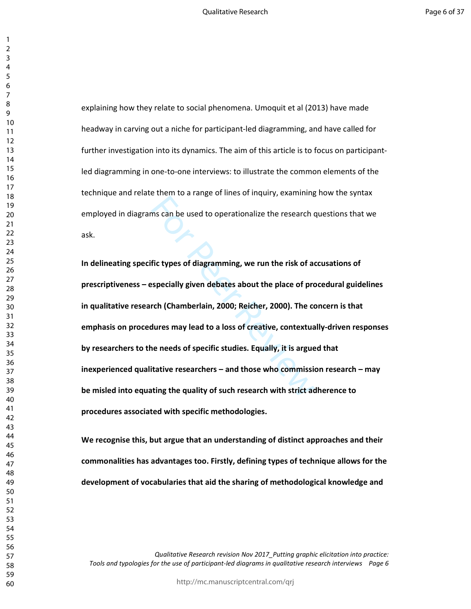explaining how they relate to social phenomena. Umoquit et al (2013) have made headway in carving out a niche for participant-led diagramming, and have called for further investigation into its dynamics. The aim of this article is to focus on participantled diagramming in one-to-one interviews: to illustrate the common elements of the technique and relate them to a range of lines of inquiry, examining how the syntax employed in diagrams can be used to operationalize the research questions that we ask.

For Parameter Danger Danger Danger Danger Danger Danger Review Parameters<br>
fic types of diagramming, we run the risk of adespecially given debates about the place of pro<br>
rch (Chamberlain, 2000; Reicher, 2000). The context **In delineating specific types of diagramming, we run the risk of accusations of prescriptiveness – especially given debates about the place of procedural guidelines in qualitative research (Chamberlain, 2000; Reicher, 2000). The concern is that emphasis on procedures may lead to a loss of creative, contextually-driven responses by researchers to the needs of specific studies. Equally, it is argued that inexperienced qualitative researchers – and those who commission research – may be misled into equating the quality of such research with strict adherence to procedures associated with specific methodologies.** 

**We recognise this, but argue that an understanding of distinct approaches and their commonalities has advantages too. Firstly, defining types of technique allows for the development of vocabularies that aid the sharing of methodological knowledge and**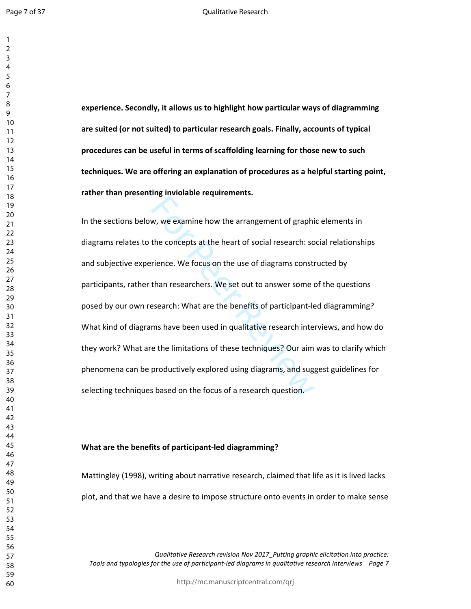Move the arrangement of graphical<br>the concepts at the heart of social research: so<br>rience. We focus on the use of diagrams constr<br>than researchers. We set out to answer some of<br>esearch: What are the benefits of participant **experience. Secondly, it allows us to highlight how particular ways of diagramming are suited (or not suited) to particular research goals. Finally, accounts of typical procedures can be useful in terms of scaffolding learning for those new to such techniques. We are offering an explanation of procedures as a helpful starting point, rather than presenting inviolable requirements.**  In the sections below, we examine how the arrangement of graphic elements in diagrams relates to the concepts at the heart of social research: social relationships and subjective experience. We focus on the use of diagrams constructed by participants, rather than researchers. We set out to answer some of the questions posed by our own research: What are the benefits of participant-led diagramming? What kind of diagrams have been used in qualitative research interviews, and how do they work? What are the limitations of these techniques? Our aim was to clarify which phenomena can be productively explored using diagrams, and suggest guidelines for selecting techniques based on the focus of a research question.

## **What are the benefits of participant-led diagramming?**

Mattingley (1998), writing about narrative research, claimed that life as it is lived lacks plot, and that we have a desire to impose structure onto events in order to make sense

*Qualitative Research revision Nov 2017\_Putting graphic elicitation into practice: Tools and typologies for the use of participant-led diagrams in qualitative research interviews Page 7* 

http://mc.manuscriptcentral.com/qrj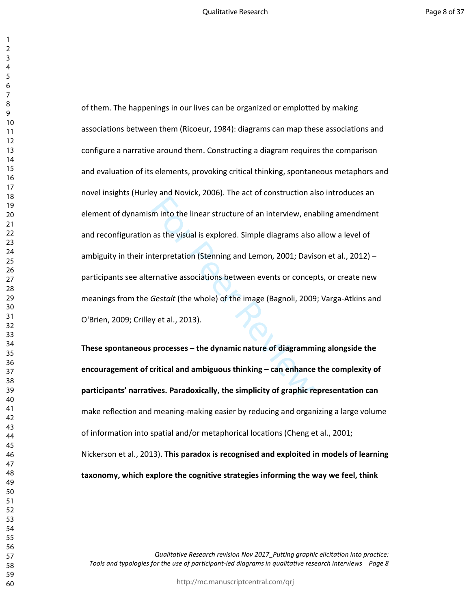For the linear structure of an interview, ena<br>as the visual is explored. Simple diagrams also<br>terpretation (Stenning and Lemon, 2001; Davis<br>remative associations between events or concer<br>Gestalt (the whole) of the image (B of them. The happenings in our lives can be organized or emplotted by making associations between them (Ricoeur, 1984): diagrams can map these associations and configure a narrative around them. Constructing a diagram requires the comparison and evaluation of its elements, provoking critical thinking, spontaneous metaphors and novel insights (Hurley and Novick, 2006). The act of construction also introduces an element of dynamism into the linear structure of an interview, enabling amendment and reconfiguration as the visual is explored. Simple diagrams also allow a level of ambiguity in their interpretation (Stenning and Lemon, 2001; Davison et al., 2012) – participants see alternative associations between events or concepts, or create new meanings from the *Gestalt* (the whole) of the image (Bagnoli, 2009; Varga-Atkins and O'Brien, 2009; Crilley et al., 2013).

**These spontaneous processes – the dynamic nature of diagramming alongside the encouragement of critical and ambiguous thinking – can enhance the complexity of participants' narratives. Paradoxically, the simplicity of graphic representation can**  make reflection and meaning-making easier by reducing and organizing a large volume of information into spatial and/or metaphorical locations (Cheng et al., 2001; Nickerson et al., 2013). **This paradox is recognised and exploited in models of learning taxonomy, which explore the cognitive strategies informing the way we feel, think**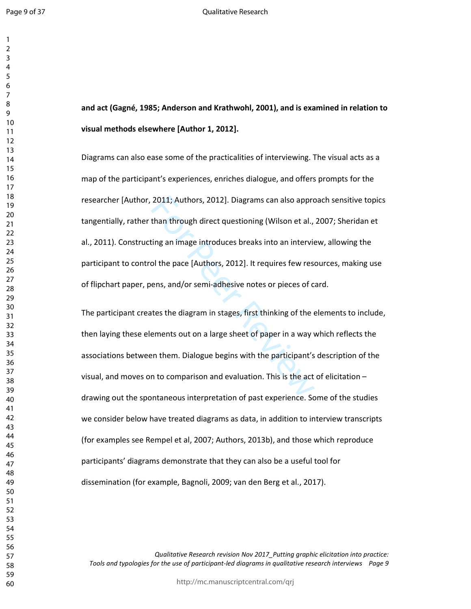# **and act (Gagné, 1985; Anderson and Krathwohl, 2001), and is examined in relation to visual methods elsewhere [Author 1, 2012].**

2011; Authors, 2012]. Diagrams can also appror<br>than through direct questioning (Wilson et al.,<br>ting an image introduces breaks into an intervie<br>ol the pace [Authors, 2012]. It requires few rese<br>ens, and/or semi-adhesive no Diagrams can also ease some of the practicalities of interviewing. The visual acts as a map of the participant's experiences, enriches dialogue, and offers prompts for the researcher [Author, 2011; Authors, 2012]. Diagrams can also approach sensitive topics tangentially, rather than through direct questioning (Wilson et al., 2007; Sheridan et al., 2011). Constructing an image introduces breaks into an interview, allowing the participant to control the pace [Authors, 2012]. It requires few resources, making use of flipchart paper, pens, and/or semi-adhesive notes or pieces of card.

The participant creates the diagram in stages, first thinking of the elements to include, then laying these elements out on a large sheet of paper in a way which reflects the associations between them. Dialogue begins with the participant's description of the visual, and moves on to comparison and evaluation. This is the act of elicitation – drawing out the spontaneous interpretation of past experience. Some of the studies we consider below have treated diagrams as data, in addition to interview transcripts (for examples see Rempel et al, 2007; Authors, 2013b), and those which reproduce participants' diagrams demonstrate that they can also be a useful tool for dissemination (for example, Bagnoli, 2009; van den Berg et al., 2017).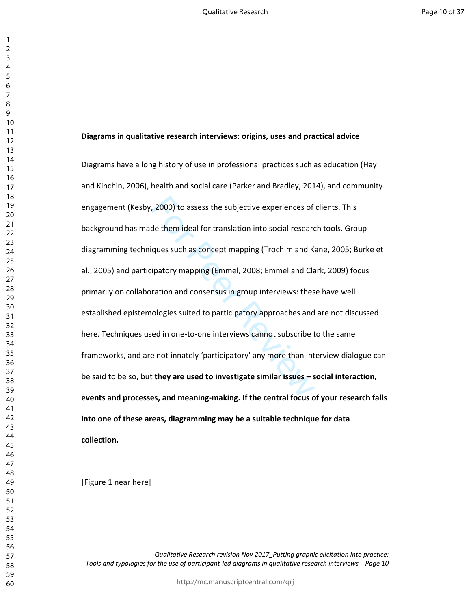#### **Diagrams in qualitative research interviews: origins, uses and practical advice**

, 2000) to assess the subjective experiences of<br>de them ideal for translation into social researc<br>iques such as concept mapping (Trochim and Kaipatory mapping (Emmel, 2008; Emmel and Cla<br>ration and consensus in group inter Diagrams have a long history of use in professional practices such as education (Hay and Kinchin, 2006), health and social care (Parker and Bradley, 2014), and community engagement (Kesby, 2000) to assess the subjective experiences of clients. This background has made them ideal for translation into social research tools. Group diagramming techniques such as concept mapping (Trochim and Kane, 2005; Burke et al., 2005) and participatory mapping (Emmel, 2008; Emmel and Clark, 2009) focus primarily on collaboration and consensus in group interviews: these have well established epistemologies suited to participatory approaches and are not discussed here. Techniques used in one-to-one interviews cannot subscribe to the same frameworks, and are not innately 'participatory' any more than interview dialogue can be said to be so, but **they are used to investigate similar issues – social interaction, events and processes, and meaning-making. If the central focus of your research falls into one of these areas, diagramming may be a suitable technique for data collection.** 

[Figure 1 near here]

*Qualitative Research revision Nov 2017\_Putting graphic elicitation into practice: Tools and typologies for the use of participant-led diagrams in qualitative research interviews Page 10* 

http://mc.manuscriptcentral.com/qrj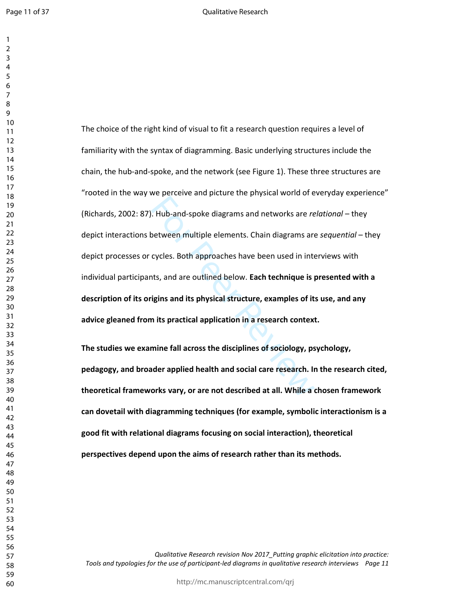$\mathbf{1}$  $\overline{2}$ 

Example and predict and predict and predict and predict and predict and predict and the project metal of the period of the period of the period of the period of the cycles. Both approaches have been used in intents, and ar The choice of the right kind of visual to fit a research question requires a level of familiarity with the syntax of diagramming. Basic underlying structures include the chain, the hub-and-spoke, and the network (see Figure 1). These three structures are "rooted in the way we perceive and picture the physical world of everyday experience" (Richards, 2002: 87). Hub-and-spoke diagrams and networks are *relational* – they depict interactions between multiple elements. Chain diagrams are *sequential* – they depict processes or cycles. Both approaches have been used in interviews with individual participants, and are outlined below. **Each technique is presented with a description of its origins and its physical structure, examples of its use, and any advice gleaned from its practical application in a research context.** 

**The studies we examine fall across the disciplines of sociology, psychology, pedagogy, and broader applied health and social care research. In the research cited, theoretical frameworks vary, or are not described at all. While a chosen framework can dovetail with diagramming techniques (for example, symbolic interactionism is a good fit with relational diagrams focusing on social interaction), theoretical perspectives depend upon the aims of research rather than its methods.**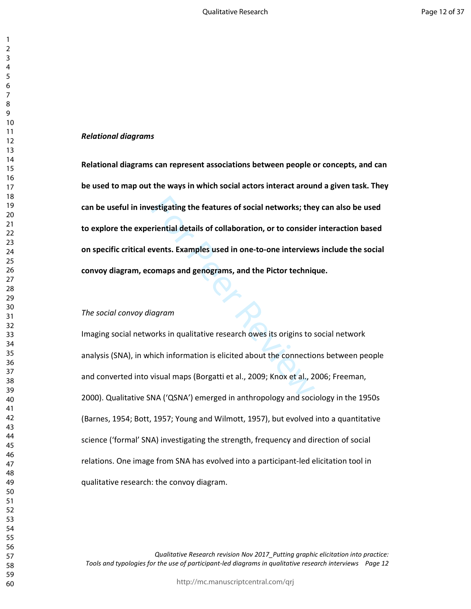# *Relational diagrams*

estigating the features of social networks; the<br>
riential details of collaboration, or to consider<br>
vents. Examples used in one-to-one interview<br>
omaps and genograms, and the Pictor techniq<br>
orks in qualitative research ow **Relational diagrams can represent associations between people or concepts, and can be used to map out the ways in which social actors interact around a given task. They can be useful in investigating the features of social networks; they can also be used to explore the experiential details of collaboration, or to consider interaction based on specific critical events. Examples used in one-to-one interviews include the social convoy diagram, ecomaps and genograms, and the Pictor technique.** 

# *The social convoy diagram*

Imaging social networks in qualitative research owes its origins to social network analysis (SNA), in which information is elicited about the connections between people and converted into visual maps (Borgatti et al., 2009; Knox et al., 2006; Freeman, 2000). Qualitative SNA ('QSNA') emerged in anthropology and sociology in the 1950s (Barnes, 1954; Bott, 1957; Young and Wilmott, 1957), but evolved into a quantitative science ('formal' SNA) investigating the strength, frequency and direction of social relations. One image from SNA has evolved into a participant-led elicitation tool in qualitative research: the convoy diagram.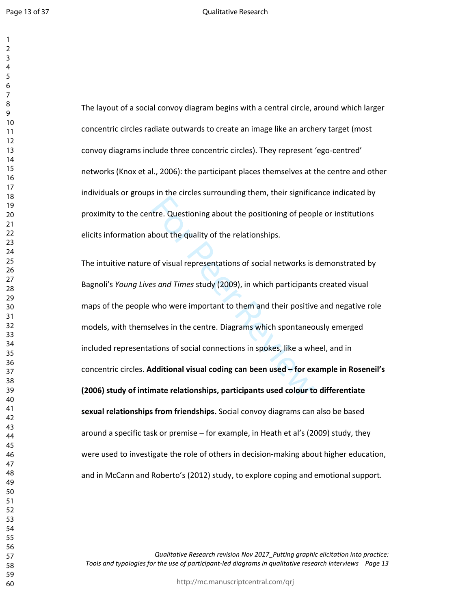$\mathbf{1}$  $\overline{2}$ 

The layout of a social convoy diagram begins with a central circle, around which larger concentric circles radiate outwards to create an image like an archery target (most convoy diagrams include three concentric circles). They represent 'ego-centred' networks (Knox et al., 2006): the participant places themselves at the centre and other individuals or groups in the circles surrounding them, their significance indicated by proximity to the centre. Questioning about the positioning of people or institutions elicits information about the quality of the relationships.

The Extra Latitude and the positioning of peop<br>the Australian Control of the relationships.<br>of visual representations of social networks is<br>set and Times study (2009), in which participants<br>who were important to them and t The intuitive nature of visual representations of social networks is demonstrated by Bagnoli's *Young Lives and Times* study (2009), in which participants created visual maps of the people who were important to them and their positive and negative role models, with themselves in the centre. Diagrams which spontaneously emerged included representations of social connections in spokes, like a wheel, and in concentric circles. **Additional visual coding can been used – for example in Roseneil's (2006) study of intimate relationships, participants used colour to differentiate sexual relationships from friendships.** Social convoy diagrams can also be based around a specific task or premise – for example, in Heath et al's (2009) study, they were used to investigate the role of others in decision-making about higher education, and in McCann and Roberto's (2012) study, to explore coping and emotional support.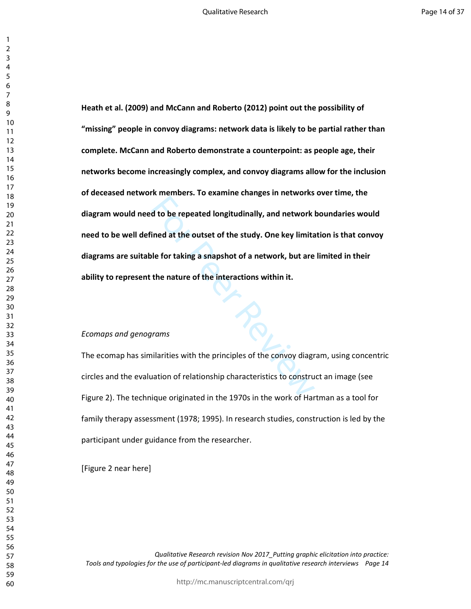Maximizers the shall alle standard many control and at the outset of the study. One key limite<br>le for taking a snapshot of a network, but are<br>the nature of the interactions within it.<br>many studies with the principles of th **Heath et al. (2009) and McCann and Roberto (2012) point out the possibility of "missing" people in convoy diagrams: network data is likely to be partial rather than complete. McCann and Roberto demonstrate a counterpoint: as people age, their networks become increasingly complex, and convoy diagrams allow for the inclusion of deceased network members. To examine changes in networks over time, the diagram would need to be repeated longitudinally, and network boundaries would need to be well defined at the outset of the study. One key limitation is that convoy diagrams are suitable for taking a snapshot of a network, but are limited in their ability to represent the nature of the interactions within it.** 

## *Ecomaps and genograms*

The ecomap has similarities with the principles of the convoy diagram, using concentric circles and the evaluation of relationship characteristics to construct an image (see Figure 2). The technique originated in the 1970s in the work of Hartman as a tool for family therapy assessment (1978; 1995). In research studies, construction is led by the participant under guidance from the researcher.

[Figure 2 near here]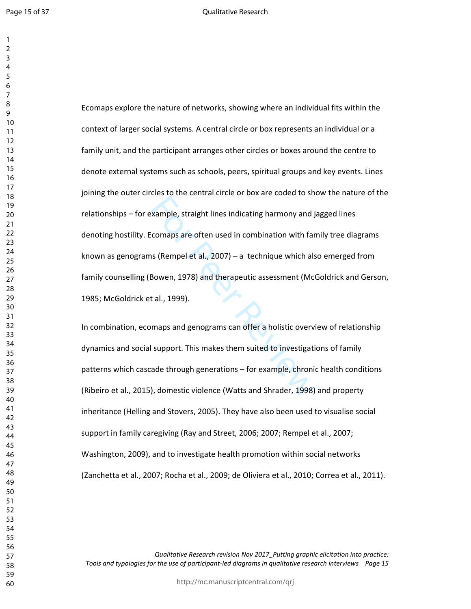Page 15 of 37

 $\overline{2}$ 

Example, straight lines indicating harmony and j<br>comaps are often used in combination with far<br>is (Rempel et al., 2007) – a technique which als<br>Bowen, 1978) and therapeutic assessment (Mc<br>t al., 1999).<br>maps and genograms c Ecomaps explore the nature of networks, showing where an individual fits within the context of larger social systems. A central circle or box represents an individual or a family unit, and the participant arranges other circles or boxes around the centre to denote external systems such as schools, peers, spiritual groups and key events. Lines joining the outer circles to the central circle or box are coded to show the nature of the relationships – for example, straight lines indicating harmony and jagged lines denoting hostility. Ecomaps are often used in combination with family tree diagrams known as genograms (Rempel et al., 2007) – a technique which also emerged from family counselling (Bowen, 1978) and therapeutic assessment (McGoldrick and Gerson, 1985; McGoldrick et al., 1999).

In combination, ecomaps and genograms can offer a holistic overview of relationship dynamics and social support. This makes them suited to investigations of family patterns which cascade through generations – for example, chronic health conditions (Ribeiro et al., 2015), domestic violence (Watts and Shrader, 1998) and property inheritance (Helling and Stovers, 2005). They have also been used to visualise social support in family caregiving (Ray and Street, 2006; 2007; Rempel et al., 2007; Washington, 2009), and to investigate health promotion within social networks (Zanchetta et al., 2007; Rocha et al., 2009; de Oliviera et al., 2010; Correa et al., 2011).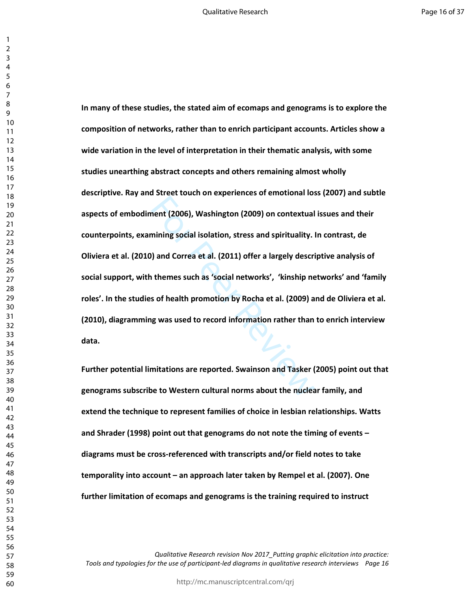nent (2006), Washington (2009) on contextual<br>mining social isolation, stress and spirituality.<br>I) and Correa et al. (2011) offer a largely description<br>themes such as 'social networks', 'kinship ne<br>s of health promotion by **In many of these studies, the stated aim of ecomaps and genograms is to explore the composition of networks, rather than to enrich participant accounts. Articles show a wide variation in the level of interpretation in their thematic analysis, with some studies unearthing abstract concepts and others remaining almost wholly descriptive. Ray and Street touch on experiences of emotional loss (2007) and subtle aspects of embodiment (2006), Washington (2009) on contextual issues and their counterpoints, examining social isolation, stress and spirituality. In contrast, de Oliviera et al. (2010) and Correa et al. (2011) offer a largely descriptive analysis of social support, with themes such as 'social networks', 'kinship networks' and 'family roles'. In the studies of health promotion by Rocha et al. (2009) and de Oliviera et al. (2010), diagramming was used to record information rather than to enrich interview data.** 

**Further potential limitations are reported. Swainson and Tasker (2005) point out that genograms subscribe to Western cultural norms about the nuclear family, and extend the technique to represent families of choice in lesbian relationships. Watts and Shrader (1998) point out that genograms do not note the timing of events – diagrams must be cross-referenced with transcripts and/or field notes to take temporality into account – an approach later taken by Rempel et al. (2007). One further limitation of ecomaps and genograms is the training required to instruct**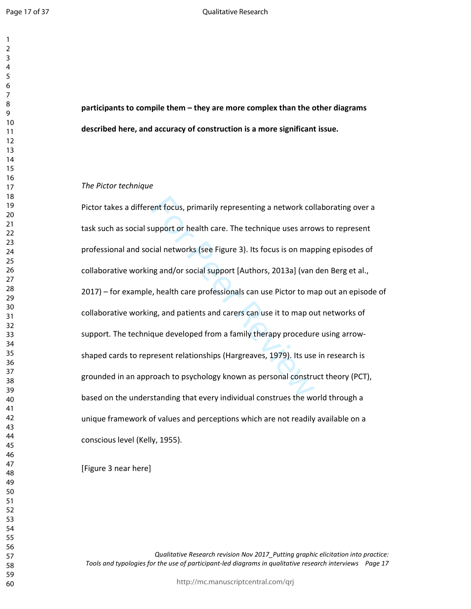$\mathbf{1}$  $\overline{2}$  $\overline{4}$  $\overline{7}$ 

**participants to compile them – they are more complex than the other diagrams described here, and accuracy of construction is a more significant issue.** 

#### *The Pictor technique*

ent focus, primarily representing a network col<br>upport or health care. The technique uses arro<br>cial networks (see Figure 3). Its focus is on map<br>ng and/or social support [Authors, 2013a] (van<br>e, health care professionals c Pictor takes a different focus, primarily representing a network collaborating over a task such as social support or health care. The technique uses arrows to represent professional and social networks (see Figure 3). Its focus is on mapping episodes of collaborative working and/or social support [Authors, 2013a] (van den Berg et al., 2017) – for example, health care professionals can use Pictor to map out an episode of collaborative working, and patients and carers can use it to map out networks of support. The technique developed from a family therapy procedure using arrowshaped cards to represent relationships (Hargreaves, 1979). Its use in research is grounded in an approach to psychology known as personal construct theory (PCT), based on the understanding that every individual construes the world through a unique framework of values and perceptions which are not readily available on a conscious level (Kelly, 1955).

[Figure 3 near here]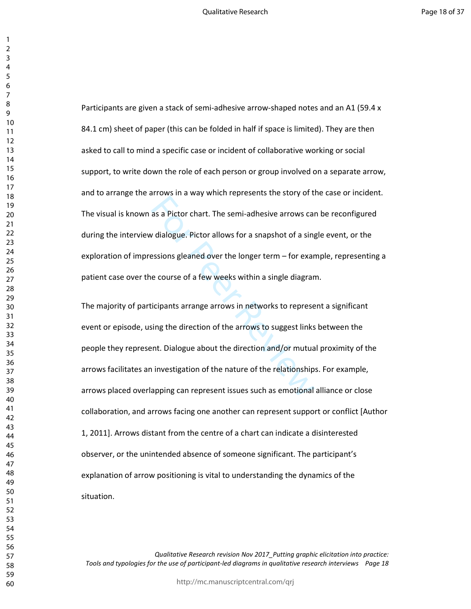Participants are given a stack of semi-adhesive arrow-shaped notes and an A1 (59.4 x 84.1 cm) sheet of paper (this can be folded in half if space is limited). They are then asked to call to mind a specific case or incident of collaborative working or social support, to write down the role of each person or group involved on a separate arrow, and to arrange the arrows in a way which represents the story of the case or incident. The visual is known as a Pictor chart. The semi-adhesive arrows can be reconfigured during the interview dialogue. Pictor allows for a snapshot of a single event, or the exploration of impressions gleaned over the longer term – for example, representing a patient case over the course of a few weeks within a single diagram.

as a Pictor chart. The semi-adhesive arrows can<br>as a Pictor chart. The semi-adhesive arrows can<br>dialogue. Pictor allows for a snapshot of a sing<br>essions gleaned over the longer term – for exare<br>e course of a few weeks with The majority of participants arrange arrows in networks to represent a significant event or episode, using the direction of the arrows to suggest links between the people they represent. Dialogue about the direction and/or mutual proximity of the arrows facilitates an investigation of the nature of the relationships. For example, arrows placed overlapping can represent issues such as emotional alliance or close collaboration, and arrows facing one another can represent support or conflict [Author 1, 2011]. Arrows distant from the centre of a chart can indicate a disinterested observer, or the unintended absence of someone significant. The participant's explanation of arrow positioning is vital to understanding the dynamics of the situation.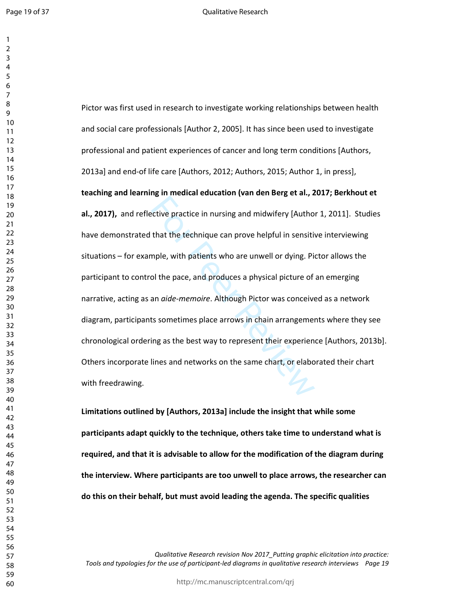Page 19 of 37

 $\overline{2}$ 

For the product of the matter of the technique can prove helpful in sensitively particle in nursing and midwifery [Authothat the technique can prove helpful in sensitive mple, with patients who are unwell or dying. Pit of Pictor was first used in research to investigate working relationships between health and social care professionals [Author 2, 2005]. It has since been used to investigate professional and patient experiences of cancer and long term conditions [Authors, 2013a] and end-of life care [Authors, 2012; Authors, 2015; Author 1, in press], **teaching and learning in medical education (van den Berg et al., 2017; Berkhout et al., 2017),** and reflective practice in nursing and midwifery [Author 1, 2011]. Studies have demonstrated that the technique can prove helpful in sensitive interviewing situations – for example, with patients who are unwell or dying. Pictor allows the participant to control the pace, and produces a physical picture of an emerging narrative, acting as an *aide-memoire*. Although Pictor was conceived as a network diagram, participants sometimes place arrows in chain arrangements where they see chronological ordering as the best way to represent their experience [Authors, 2013b]. Others incorporate lines and networks on the same chart, or elaborated their chart with freedrawing.

**Limitations outlined by [Authors, 2013a] include the insight that while some participants adapt quickly to the technique, others take time to understand what is required, and that it is advisable to allow for the modification of the diagram during the interview. Where participants are too unwell to place arrows, the researcher can do this on their behalf, but must avoid leading the agenda. The specific qualities**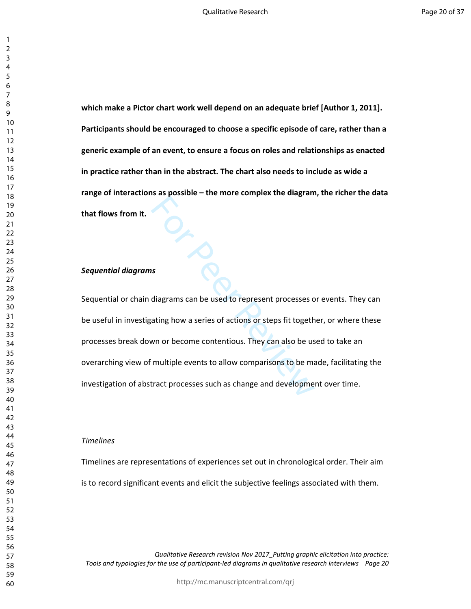**which make a Pictor chart work well depend on an adequate brief [Author 1, 2011]. Participants should be encouraged to choose a specific episode of care, rather than a generic example of an event, to ensure a focus on roles and relationships as enacted in practice rather than in the abstract. The chart also needs to include as wide a range of interactions as possible – the more complex the diagram, the richer the data that flows from it.** 

# *Sequential diagrams*

For the complement of the state of the state of the state of diagrams can be used to represent processes of actions or steps fit togeth who or become contentious. They can also be used multiple events to allow comparisons Sequential or chain diagrams can be used to represent processes or events. They can be useful in investigating how a series of actions or steps fit together, or where these processes break down or become contentious. They can also be used to take an overarching view of multiple events to allow comparisons to be made, facilitating the investigation of abstract processes such as change and development over time.

#### *Timelines*

Timelines are representations of experiences set out in chronological order. Their aim is to record significant events and elicit the subjective feelings associated with them.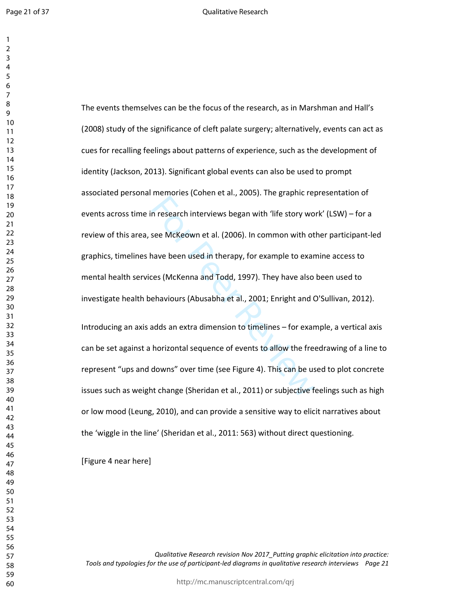Page 21 of 37

 $\mathbf{1}$ 

In research interviews began with 'life story wo<br>see McKeown et al. (2006). In common with ot<br>nave been used in therapy, for example to exar<br>ces (McKenna and Todd, 1997). They have also<br>ehaviours (Abusabha et al., 2001; En The events themselves can be the focus of the research, as in Marshman and Hall's (2008) study of the significance of cleft palate surgery; alternatively, events can act as cues for recalling feelings about patterns of experience, such as the development of identity (Jackson, 2013). Significant global events can also be used to prompt associated personal memories (Cohen et al., 2005). The graphic representation of events across time in research interviews began with 'life story work' (LSW) – for a review of this area, see McKeown et al. (2006). In common with other participant-led graphics, timelines have been used in therapy, for example to examine access to mental health services (McKenna and Todd, 1997). They have also been used to investigate health behaviours (Abusabha et al., 2001; Enright and O'Sullivan, 2012). Introducing an axis adds an extra dimension to timelines – for example, a vertical axis can be set against a horizontal sequence of events to allow the freedrawing of a line to represent "ups and downs" over time (see Figure 4). This can be used to plot concrete issues such as weight change (Sheridan et al., 2011) or subjective feelings such as high or low mood (Leung, 2010), and can provide a sensitive way to elicit narratives about

the 'wiggle in the line' (Sheridan et al., 2011: 563) without direct questioning.

[Figure 4 near here]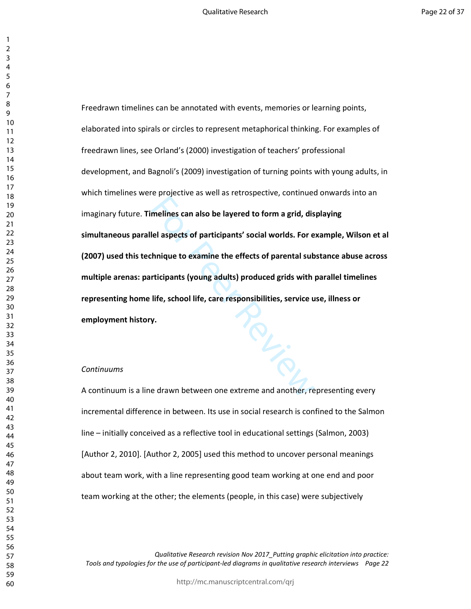$r_{\widetilde{Q}_{L,\widetilde{Q}_{L,\widetilde{Q}_{L,\widetilde{Q}_{L,\widetilde{Q}_{L,\widetilde{Q}_{L,\widetilde{Q}_{L,\widetilde{Q}_{L,\widetilde{Q}_{L,\widetilde{Q}_{L,\widetilde{Q}_{L,\widetilde{Q}_{L,\widetilde{Q}_{L,\widetilde{Q}_{L,\widetilde{Q}_{L,\widetilde{Q}_{L,\widetilde{Q}_{L,\widetilde{Q}_{L,\widetilde{Q}_{L,\widetilde{Q}_{L,\widetilde{Q}_{L,\widetilde{Q}_{L,\widetilde{Q}_{L,\widetilde{Q}_{L,\widetilde{Q}_{L,\widetilde{Q}_{L,\widetilde{Q}_{L,\wid$ Freedrawn timelines can be annotated with events, memories or learning points, elaborated into spirals or circles to represent metaphorical thinking. For examples of freedrawn lines, see Orland's (2000) investigation of teachers' professional development, and Bagnoli's (2009) investigation of turning points with young adults, in which timelines were projective as well as retrospective, continued onwards into an imaginary future. **Timelines can also be layered to form a grid, displaying simultaneous parallel aspects of participants' social worlds. For example, Wilson et al (2007) used this technique to examine the effects of parental substance abuse across multiple arenas: participants (young adults) produced grids with parallel timelines representing home life, school life, care responsibilities, service use, illness or employment history.**

#### *Continuums*

A continuum is a line drawn between one extreme and another, representing every incremental difference in between. Its use in social research is confined to the Salmon line – initially conceived as a reflective tool in educational settings (Salmon, 2003) [Author 2, 2010]. [Author 2, 2005] used this method to uncover personal meanings about team work, with a line representing good team working at one end and poor team working at the other; the elements (people, in this case) were subjectively

*Qualitative Research revision Nov 2017\_Putting graphic elicitation into practice: Tools and typologies for the use of participant-led diagrams in qualitative research interviews Page 22* 

http://mc.manuscriptcentral.com/qrj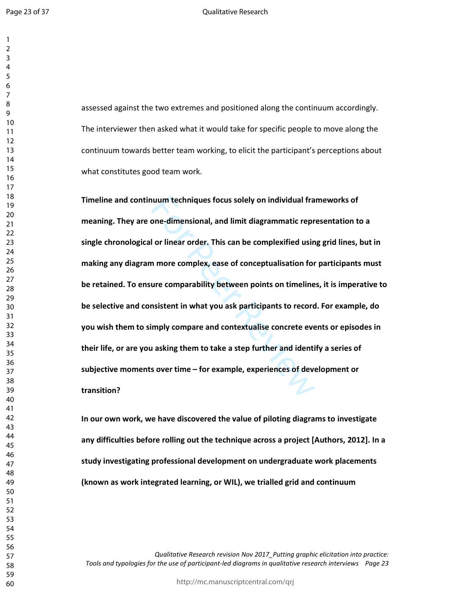assessed against the two extremes and positioned along the continuum accordingly. The interviewer then asked what it would take for specific people to move along the continuum towards better team working, to elicit the participant's perceptions about what constitutes good team work.

Notion techniques focus solely on individual framed one-dimensional, and limit diagrammatic reproses of ordinary or linear order. This can be complexified using the more complex, ease of conceptualisation for ure comparabi **Timeline and continuum techniques focus solely on individual frameworks of meaning. They are one-dimensional, and limit diagrammatic representation to a single chronological or linear order. This can be complexified using grid lines, but in making any diagram more complex, ease of conceptualisation for participants must be retained. To ensure comparability between points on timelines, it is imperative to be selective and consistent in what you ask participants to record. For example, do you wish them to simply compare and contextualise concrete events or episodes in their life, or are you asking them to take a step further and identify a series of subjective moments over time – for example, experiences of development or transition?** 

**In our own work, we have discovered the value of piloting diagrams to investigate any difficulties before rolling out the technique across a project [Authors, 2012]. In a study investigating professional development on undergraduate work placements (known as work integrated learning, or WIL), we trialled grid and continuum**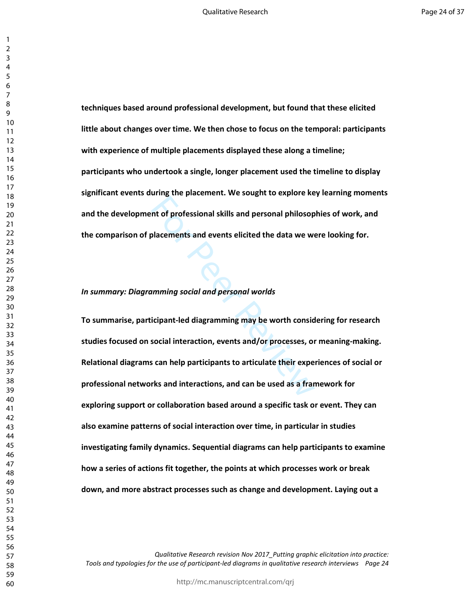**techniques based around professional development, but found that these elicited little about changes over time. We then chose to focus on the temporal: participants with experience of multiple placements displayed these along a timeline; participants who undertook a single, longer placement used the timeline to display significant events during the placement. We sought to explore key learning moments and the development of professional skills and personal philosophies of work, and the comparison of placements and events elicited the data we were looking for.** 

#### *In summary: Diagramming social and personal worlds*

many are presented the stagnart implement<br>of professional skills and personal philosop<br>placements and events elicited the data we we<br>many social and personal worlds<br>icipant-led diagramming may be worth consid<br>social intera **To summarise, participant-led diagramming may be worth considering for research studies focused on social interaction, events and/or processes, or meaning-making. Relational diagrams can help participants to articulate their experiences of social or professional networks and interactions, and can be used as a framework for exploring support or collaboration based around a specific task or event. They can also examine patterns of social interaction over time, in particular in studies investigating family dynamics. Sequential diagrams can help participants to examine how a series of actions fit together, the points at which processes work or break down, and more abstract processes such as change and development. Laying out a**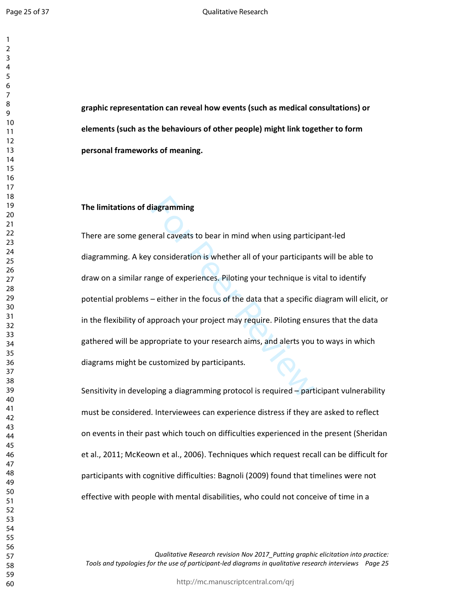**graphic representation can reveal how events (such as medical consultations) or elements (such as the behaviours of other people) might link together to form personal frameworks of meaning.** 

### **The limitations of diagramming**

iagramming<br>
eral caveats to bear in mind when using partici<br>
consideration is whether all of your participan<br>
nge of experiences. Piloting your technique is v<br>
– either in the focus of the data that a specific<br>
pproach you There are some general caveats to bear in mind when using participant-led diagramming. A key consideration is whether all of your participants will be able to draw on a similar range of experiences. Piloting your technique is vital to identify potential problems – either in the focus of the data that a specific diagram will elicit, or in the flexibility of approach your project may require. Piloting ensures that the data gathered will be appropriate to your research aims, and alerts you to ways in which diagrams might be customized by participants.

Sensitivity in developing a diagramming protocol is required – participant vulnerability must be considered. Interviewees can experience distress if they are asked to reflect on events in their past which touch on difficulties experienced in the present (Sheridan et al., 2011; McKeown et al., 2006). Techniques which request recall can be difficult for participants with cognitive difficulties: Bagnoli (2009) found that timelines were not effective with people with mental disabilities, who could not conceive of time in a

*Qualitative Research revision Nov 2017\_Putting graphic elicitation into practice: Tools and typologies for the use of participant-led diagrams in qualitative research interviews Page 25* 

http://mc.manuscriptcentral.com/qrj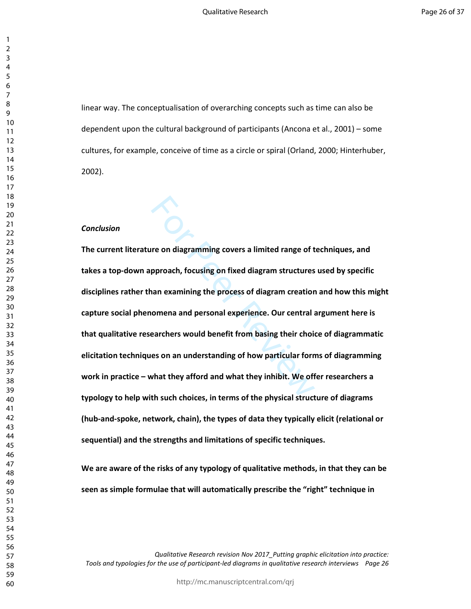linear way. The conceptualisation of overarching concepts such as time can also be dependent upon the cultural background of participants (Ancona et al., 2001) – some cultures, for example, conceive of time as a circle or spiral (Orland, 2000; Hinterhuber, 2002).

#### *Conclusion*

For a diagramming covers a limited range of the<br>pproach, focusing on fixed diagram structures<br>an examining the process of diagram creation<br>comena and personal experience. Our central a<br>earchers would benefit from basing th **The current literature on diagramming covers a limited range of techniques, and takes a top-down approach, focusing on fixed diagram structures used by specific disciplines rather than examining the process of diagram creation and how this might capture social phenomena and personal experience. Our central argument here is that qualitative researchers would benefit from basing their choice of diagrammatic elicitation techniques on an understanding of how particular forms of diagramming work in practice – what they afford and what they inhibit. We offer researchers a typology to help with such choices, in terms of the physical structure of diagrams (hub-and-spoke, network, chain), the types of data they typically elicit (relational or sequential) and the strengths and limitations of specific techniques.** 

**We are aware of the risks of any typology of qualitative methods, in that they can be seen as simple formulae that will automatically prescribe the "right" technique in**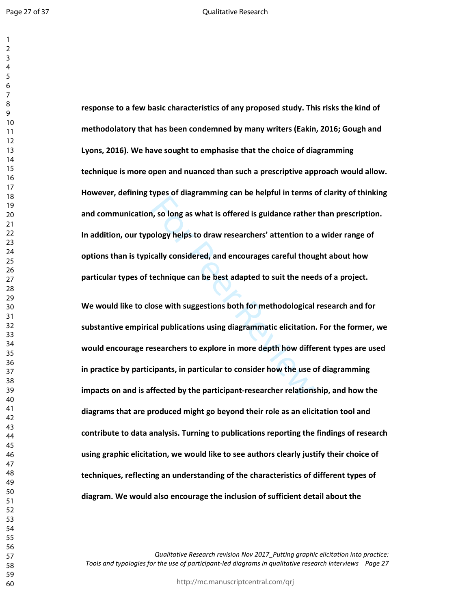Page 27 of 37

 $\mathbf{1}$  $\overline{2}$ 

**response to a few basic characteristics of any proposed study. This risks the kind of methodolatory that has been condemned by many writers (Eakin, 2016; Gough and Lyons, 2016). We have sought to emphasise that the choice of diagramming technique is more open and nuanced than such a prescriptive approach would allow. However, defining types of diagramming can be helpful in terms of clarity of thinking and communication, so long as what is offered is guidance rather than prescription. In addition, our typology helps to draw researchers' attention to a wider range of options than is typically considered, and encourages careful thought about how particular types of technique can be best adapted to suit the needs of a project.** 

These arms can be not prother and call<br>the ology helps to draw researchers' attention to<br>cally considered, and encourages careful thou<br>technique can be best adapted to suit the need<br>ose with suggestions both for methodolog **We would like to close with suggestions both for methodological research and for substantive empirical publications using diagrammatic elicitation. For the former, we would encourage researchers to explore in more depth how different types are used in practice by participants, in particular to consider how the use of diagramming impacts on and is affected by the participant-researcher relationship, and how the diagrams that are produced might go beyond their role as an elicitation tool and contribute to data analysis. Turning to publications reporting the findings of research using graphic elicitation, we would like to see authors clearly justify their choice of techniques, reflecting an understanding of the characteristics of different types of diagram. We would also encourage the inclusion of sufficient detail about the**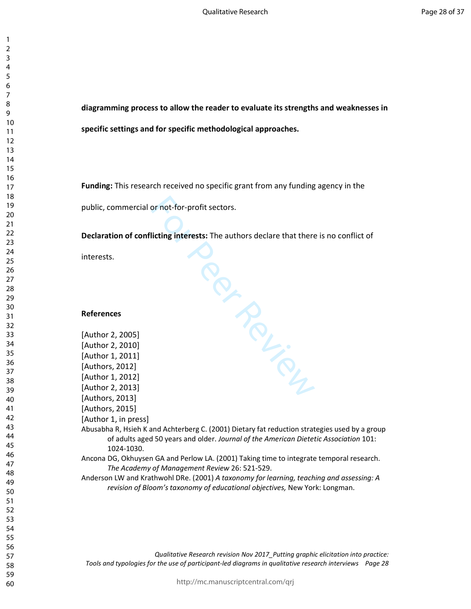> **diagramming process to allow the reader to evaluate its strengths and weaknesses in specific settings and for specific methodological approaches.**

**Funding:** This research received no specific grant from any funding agency in the

public, commercial or not-for-profit sectors.

**Declaration of conflicting interests:** The authors declare that there is no conflict of

# **References**

| interests.                                                                                                                                                             |
|------------------------------------------------------------------------------------------------------------------------------------------------------------------------|
|                                                                                                                                                                        |
|                                                                                                                                                                        |
| <b>References</b>                                                                                                                                                      |
| [Author 2, 2005]                                                                                                                                                       |
| [Author 2, 2010]                                                                                                                                                       |
| [Author 1, 2011]                                                                                                                                                       |
| [Authors, 2012]                                                                                                                                                        |
| [Author 1, 2012]                                                                                                                                                       |
| [Author 2, 2013]                                                                                                                                                       |
| [Authors, 2013]                                                                                                                                                        |
| [Authors, 2015]                                                                                                                                                        |
| [Author 1, in press]                                                                                                                                                   |
| Abusabha R, Hsieh K and Achterberg C. (2001) Dietary fat reduction strategies used by a group                                                                          |
| of adults aged 50 years and older. Journal of the American Dietetic Association 101:                                                                                   |
| 1024-1030.                                                                                                                                                             |
| Ancona DG, Okhuysen GA and Perlow LA. (2001) Taking time to integrate temporal research.<br>The Academy of Management Review 26: 521-529.                              |
| Anderson LW and Krathwohl DRe. (2001) A taxonomy for learning, teaching and assessing: A<br>revision of Bloom's taxonomy of educational objectives, New York: Longman. |
|                                                                                                                                                                        |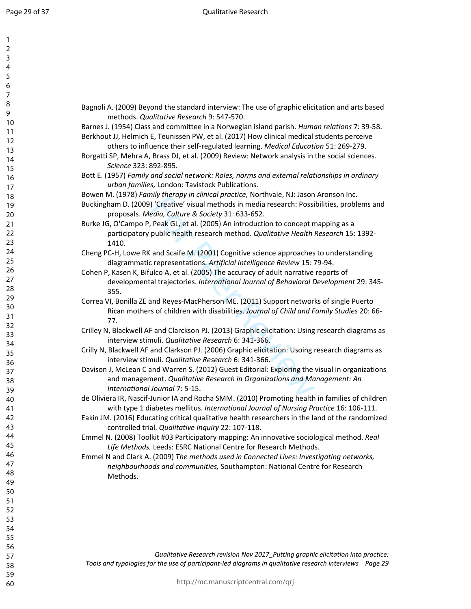$\mathbf{1}$  $\overline{2}$ 3  $\overline{4}$ 5 6  $\overline{7}$ 8 9

| Bagnoli A. (2009) Beyond the standard interview: The use of graphic elicitation and arts based<br>methods. Qualitative Research 9: 547-570.                                                                                                                                                                                                                                       |
|-----------------------------------------------------------------------------------------------------------------------------------------------------------------------------------------------------------------------------------------------------------------------------------------------------------------------------------------------------------------------------------|
| Barnes J. (1954) Class and committee in a Norwegian island parish. Human relations 7: 39-58.<br>Berkhout JJ, Helmich E, Teunissen PW, et al. (2017) How clinical medical students perceive<br>others to influence their self-regulated learning. Medical Education 51: 269-279.<br>Borgatti SP, Mehra A, Brass DJ, et al. (2009) Review: Network analysis in the social sciences. |
| Science 323: 892-895.<br>Bott E. (1957) Family and social network: Roles, norms and external relationships in ordinary                                                                                                                                                                                                                                                            |
| urban families, London: Tavistock Publications.                                                                                                                                                                                                                                                                                                                                   |
| Bowen M. (1978) Family therapy in clinical practice, Northvale, NJ: Jason Aronson Inc.<br>Buckingham D. (2009) 'Creative' visual methods in media research: Possibilities, problems and<br>proposals. Media, Culture & Society 31: 633-652.                                                                                                                                       |
| Burke JG, O'Campo P, Peak GL, et al. (2005) An introduction to concept mapping as a<br>participatory public health research method. Qualitative Health Research 15: 1392-<br>1410.                                                                                                                                                                                                |
| Cheng PC-H, Lowe RK and Scaife M. (2001) Cognitive science approaches to understanding<br>diagrammatic representations. Artificial Intelligence Review 15: 79-94.                                                                                                                                                                                                                 |
| Cohen P, Kasen K, Bifulco A, et al. (2005) The accuracy of adult narrative reports of<br>developmental trajectories. International Journal of Behavioral Development 29: 345-<br>355.                                                                                                                                                                                             |
| Correa VI, Bonilla ZE and Reyes-MacPherson ME. (2011) Support networks of single Puerto<br>Rican mothers of children with disabilities. Journal of Child and Family Studies 20: 66-<br>77.                                                                                                                                                                                        |
| Crilley N, Blackwell AF and Clarckson PJ. (2013) Graphic elicitation: Using research diagrams as<br>interview stimuli. Qualitative Research 6: 341-366.                                                                                                                                                                                                                           |
| Crilly N, Blackwell AF and Clarkson PJ. (2006) Graphic elicitation: Usoing research diagrams as<br>interview stimuli. Qualitative Research 6: 341-366.                                                                                                                                                                                                                            |
| Davison J, McLean C and Warren S. (2012) Guest Editorial: Exploring the visual in organizations<br>and management. Qualitative Research in Organizations and Management: An<br>International Journal 7: 5-15.                                                                                                                                                                     |
| de Oliviera IR, Nascif-Junior IA and Rocha SMM. (2010) Promoting health in families of children<br>with type 1 diabetes mellitus. International Journal of Nursing Practice 16: 106-111.<br>Eakin JM. (2016) Educating critical qualitative health researchers in the land of the randomized                                                                                      |
| controlled trial. Qualitative Inquiry 22: 107-118.<br>Emmel N. (2008) Toolkit #03 Participatory mapping: An innovative sociological method. Real<br>Life Methods. Leeds: ESRC National Centre for Research Methods.                                                                                                                                                               |
| Emmel N and Clark A. (2009) The methods used in Connected Lives: Investigating networks,<br>neighbourhoods and communities, Southampton: National Centre for Research<br>Methods.                                                                                                                                                                                                 |
|                                                                                                                                                                                                                                                                                                                                                                                   |
|                                                                                                                                                                                                                                                                                                                                                                                   |
|                                                                                                                                                                                                                                                                                                                                                                                   |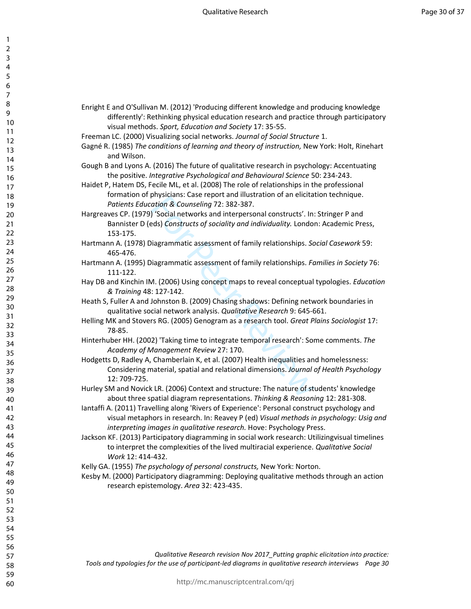| 1<br>2                        |  |
|-------------------------------|--|
| 3                             |  |
| 4<br>5                        |  |
| 6                             |  |
|                               |  |
| 8<br>9                        |  |
| 10                            |  |
| 1<br>1                        |  |
| $\overline{12}$<br>1<br>3     |  |
| 1<br>4                        |  |
| 1<br>5<br>16                  |  |
| 1                             |  |
| 18                            |  |
| 19<br>20                      |  |
| $\overline{21}$               |  |
| $^{22}$<br>$^{23}$            |  |
| $\frac{24}{5}$                |  |
| 25                            |  |
| 26<br>27                      |  |
| 28                            |  |
| 29<br>30                      |  |
| $\overline{31}$               |  |
| $\overline{32}$               |  |
| $\overline{\textbf{3}}$<br>34 |  |
| 35                            |  |
| 36<br>37                      |  |
| ٩Ŕ                            |  |
| 39                            |  |
| 40<br>41                      |  |
| 42                            |  |
| 43<br>44                      |  |
| 45                            |  |
| 46                            |  |
| 47<br>48                      |  |
| 49                            |  |
| 50<br>51                      |  |
| 52                            |  |
| 53                            |  |
| 54<br>55                      |  |
| 56                            |  |
| 57                            |  |
| 58                            |  |
| 59                            |  |

60

- Enright E and O'Sullivan M. (2012) 'Producing different knowledge and producing knowledge differently': Rethinking physical education research and practice through participatory visual methods. *Sport, Education and Society* 17: 35-55.
- Freeman LC. (2000) Visualizing social networks. *Journal of Social Structure* 1.
- Gagné R. (1985) *The conditions of learning and theory of instruction,* New York: Holt, Rinehart and Wilson.
- Gough B and Lyons A. (2016) The future of qualitative research in psychology: Accentuating the positive. *Integrative Psychological and Behavioural Science* 50: 234-243.
- Haidet P, Hatem DS, Fecile ML, et al. (2008) The role of relationships in the professional formation of physicians: Case report and illustration of an elicitation technique. *Patients Education & Counseling* 72: 382-387.
- Hargreaves CP. (1979) 'Social networks and interpersonal constructs'. In: Stringer P and Bannister D (eds) *Constructs of sociality and individuality.* London: Academic Press, 153-175.
- Hartmann A. (1978) Diagrammatic assessment of family relationships. *Social Casework* 59: 465-476.
- Hartmann A. (1995) Diagrammatic assessment of family relationships. *Families in Society* 76: 111-122.
- Hay DB and Kinchin IM. (2006) Using concept maps to reveal conceptual typologies. *Education & Training* 48: 127-142.
- Heath S, Fuller A and Johnston B. (2009) Chasing shadows: Defining network boundaries in qualitative social network analysis. *Qualitative Research* 9: 645-661.
- Helling MK and Stovers RG. (2005) Genogram as a research tool. *Great Plains Sociologist* 17: 78-85.
- Hinterhuber HH. (2002) 'Taking time to integrate temporal research': Some comments. *The Academy of Management Review* 27: 170.
- physicials. Case report and mustication of an encluded<br>ation & Counseling 72: 382-387.<br>
Social networks and interpersonal constructs'. In:<br>
des) Constructs of sociality and individuality. London<br>
iagrammatic assessment of Hodgetts D, Radley A, Chamberlain K, et al. (2007) Health inequalities and homelessness: Considering material, spatial and relational dimensions. *Journal of Health Psychology* 12: 709-725.
- Hurley SM and Novick LR. (2006) Context and structure: The nature of students' knowledge about three spatial diagram representations. *Thinking & Reasoning* 12: 281-308.
- Iantaffi A. (2011) Travelling along 'Rivers of Experience': Personal construct psychology and visual metaphors in research. In: Reavey P (ed) *Visual methods in psychology: Usig and interpreting images in qualitative research.* Hove: Psychology Press.
- Jackson KF. (2013) Participatory diagramming in social work research: Utilizingvisual timelines to interpret the complexities of the lived multiracial experience. *Qualitative Social Work* 12: 414-432.
- Kelly GA. (1955) *The psychology of personal constructs,* New York: Norton.
- Kesby M. (2000) Participatory diagramming: Deploying qualitative methods through an action research epistemology. *Area* 32: 423-435.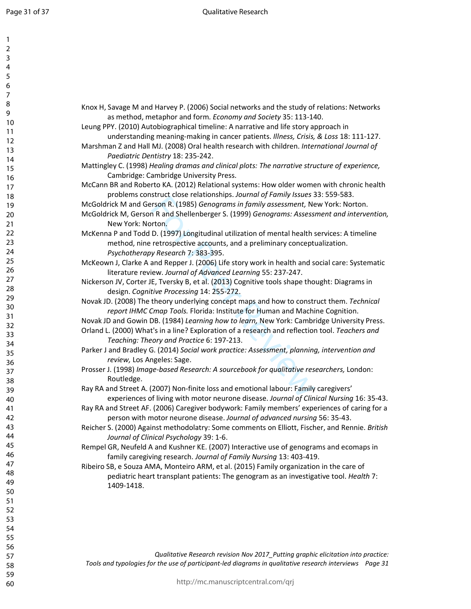| $\mathbf{L}$     |                                                                                                |
|------------------|------------------------------------------------------------------------------------------------|
| 2<br>3           |                                                                                                |
| 4                |                                                                                                |
| 5                |                                                                                                |
| 6                |                                                                                                |
|                  |                                                                                                |
| $\boldsymbol{7}$ |                                                                                                |
| 8                | Knox H, Savage M and Harvey P. (2006) Social networks and the study of relations: Networks     |
| 9                | as method, metaphor and form. Economy and Society 35: 113-140.                                 |
| 10               | Leung PPY. (2010) Autobiographical timeline: A narrative and life story approach in            |
| 11               | understanding meaning-making in cancer patients. Illness, Crisis, & Loss 18: 111-127.          |
| 12               | Marshman Z and Hall MJ. (2008) Oral health research with children. International Journal of    |
| 13               | Paediatric Dentistry 18: 235-242.                                                              |
| 14               | Mattingley C. (1998) Healing dramas and clinical plots: The narrative structure of experience, |
| 15               | Cambridge: Cambridge University Press.                                                         |
| 16               | McCann BR and Roberto KA. (2012) Relational systems: How older women with chronic health       |
| 17               |                                                                                                |
| 18               | problems construct close relationships. Journal of Family Issues 33: 559-583.                  |
| 19               | McGoldrick M and Gerson R. (1985) Genograms in family assessment, New York: Norton.            |
| 20               | McGoldrick M, Gerson R and Shellenberger S. (1999) Genograms: Assessment and intervention,     |
| 21               | New York: Norton.                                                                              |
| 22               | McKenna P and Todd D. (1997) Longitudinal utilization of mental health services: A timeline    |
| 23               | method, nine retrospective accounts, and a preliminary conceptualization.                      |
| 24               | Psychotherapy Research 7: 383-395.                                                             |
| 25               | McKeown J, Clarke A and Repper J. (2006) Life story work in health and social care: Systematic |
| 26               | literature review. Journal of Advanced Learning 55: 237-247.                                   |
| 27               | Nickerson JV, Corter JE, Tversky B, et al. (2013) Cognitive tools shape thought: Diagrams in   |
| 28               | design. Cognitive Processing 14: 255-272.                                                      |
| 29               | Novak JD. (2008) The theory underlying concept maps and how to construct them. Technical       |
| 30               | report IHMC Cmap Tools. Florida: Institute for Human and Machine Cognition.                    |
| 31               | Novak JD and Gowin DB. (1984) Learning how to learn, New York: Cambridge University Press.     |
| 32               | Orland L. (2000) What's in a line? Exploration of a research and reflection tool. Teachers and |
| 33               | Teaching: Theory and Practice 6: 197-213.                                                      |
| 34               |                                                                                                |
| 35               | Parker J and Bradley G. (2014) Social work practice: Assessment, planning, intervention and    |
| 36               | review, Los Angeles: Sage.                                                                     |
| 37               | Prosser J. (1998) Image-based Research: A sourcebook for qualitative researchers, London:      |
| 38               | Routledge.                                                                                     |
| 39               | Ray RA and Street A. (2007) Non-finite loss and emotional labour: Family caregivers'           |
| 40               | experiences of living with motor neurone disease. Journal of Clinical Nursing 16: 35-43.       |
| 41               | Ray RA and Street AF. (2006) Caregiver bodywork: Family members' experiences of caring for a   |
| 42               | person with motor neurone disease. Journal of advanced nursing 56: 35-43.                      |
| 43               | Reicher S. (2000) Against methodolatry: Some comments on Elliott, Fischer, and Rennie. British |
| 44               | Journal of Clinical Psychology 39: 1-6.                                                        |
| 45               | Rempel GR, Neufeld A and Kushner KE. (2007) Interactive use of genograms and ecomaps in        |
| 46               | family caregiving research. Journal of Family Nursing 13: 403-419.                             |
| 47               | Ribeiro SB, e Souza AMA, Monteiro ARM, et al. (2015) Family organization in the care of        |
| 48               | pediatric heart transplant patients: The genogram as an investigative tool. Health 7:          |
| 49               | 1409-1418.                                                                                     |
| 50               |                                                                                                |
| 51               |                                                                                                |
| 52               |                                                                                                |
| 53               |                                                                                                |
| 54               |                                                                                                |
| 55               |                                                                                                |
| 56               |                                                                                                |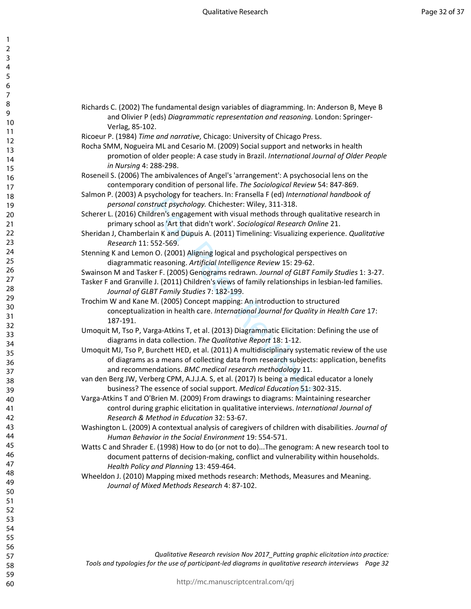$\mathbf{1}$  $\overline{2}$ 3  $\overline{4}$ 5 6  $\overline{7}$ 8 9

| Richards C. (2002) The fundamental design variables of diagramming. In: Anderson B, Meye B<br>and Olivier P (eds) Diagrammatic representation and reasoning. London: Springer-                                                                          |
|---------------------------------------------------------------------------------------------------------------------------------------------------------------------------------------------------------------------------------------------------------|
| Verlag, 85-102.                                                                                                                                                                                                                                         |
| Ricoeur P. (1984) Time and narrative, Chicago: University of Chicago Press.                                                                                                                                                                             |
| Rocha SMM, Nogueira ML and Cesario M. (2009) Social support and networks in health<br>promotion of older people: A case study in Brazil. International Journal of Older People<br>in Nursing 4: 288-298.                                                |
| Roseneil S. (2006) The ambivalences of Angel's 'arrangement': A psychosocial lens on the<br>contemporary condition of personal life. The Sociological Review 54: 847-869.                                                                               |
| Salmon P. (2003) A psychology for teachers. In: Fransella F (ed) International handbook of<br>personal construct psychology. Chichester: Wiley, 311-318.                                                                                                |
| Scherer L. (2016) Children's engagement with visual methods through qualitative research in<br>primary school as 'Art that didn't work'. Sociological Research Online 21.                                                                               |
| Sheridan J, Chamberlain K and Dupuis A. (2011) Timelining: Visualizing experience. Qualitative<br>Research 11: 552-569.                                                                                                                                 |
| Stenning K and Lemon O. (2001) Aligning logical and psychological perspectives on<br>diagrammatic reasoning. Artificial Intelligence Review 15: 29-62.                                                                                                  |
| Swainson M and Tasker F. (2005) Genograms redrawn. Journal of GLBT Family Studies 1: 3-27.                                                                                                                                                              |
| Tasker F and Granville J. (2011) Children's views of family relationships in lesbian-led families.<br>Journal of GLBT Family Studies 7: 182-199.                                                                                                        |
| Trochim W and Kane M. (2005) Concept mapping: An introduction to structured<br>conceptualization in health care. International Journal for Quality in Health Care 17:<br>187-191.                                                                       |
| Umoquit M, Tso P, Varga-Atkins T, et al. (2013) Diagrammatic Elicitation: Defining the use of<br>diagrams in data collection. The Qualitative Report 18: 1-12.                                                                                          |
| Umoquit MJ, Tso P, Burchett HED, et al. (2011) A multidisciplinary systematic review of the use<br>of diagrams as a means of collecting data from research subjects: application, benefits<br>and recommendations. BMC medical research methodology 11. |
| van den Berg JW, Verberg CPM, A.J.J.A. S, et al. (2017) Is being a medical educator a lonely<br>business? The essence of social support. Medical Education 51: 302-315.                                                                                 |
| Varga-Atkins T and O'Brien M. (2009) From drawings to diagrams: Maintaining researcher<br>control during graphic elicitation in qualitative interviews. International Journal of<br>Research & Method in Education 32: 53-67.                           |
| Washington L. (2009) A contextual analysis of caregivers of children with disabilities. Journal of<br>Human Behavior in the Social Environment 19: 554-571.                                                                                             |
| Watts C and Shrader E. (1998) How to do (or not to do)The genogram: A new research tool to<br>document patterns of decision-making, conflict and vulnerability within households.<br>Health Policy and Planning 13: 459-464.                            |
| Wheeldon J. (2010) Mapping mixed methods research: Methods, Measures and Meaning.<br>Journal of Mixed Methods Research 4: 87-102.                                                                                                                       |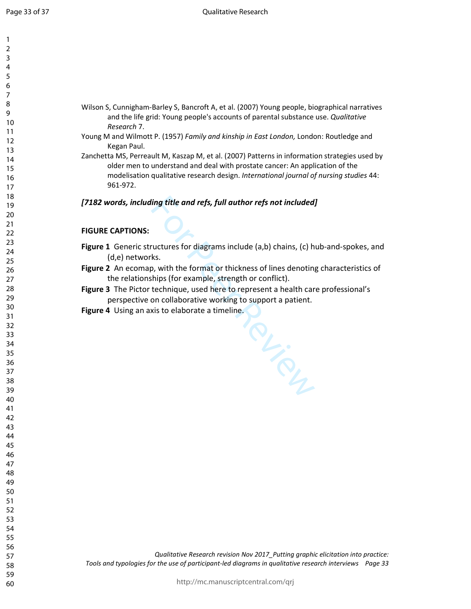| 1               |  |
|-----------------|--|
| 2               |  |
| 3               |  |
| 4               |  |
| 5               |  |
| 6               |  |
|                 |  |
| 8               |  |
| 9               |  |
| 10              |  |
| 11              |  |
| $\overline{12}$ |  |
| 13              |  |
| 14<br>15        |  |
| 16              |  |
| 1               |  |
| 18              |  |
| 19              |  |
| 20              |  |
| $\overline{21}$ |  |
| $\overline{22}$ |  |
| 23              |  |
| 24              |  |
| 25              |  |
| 26              |  |
| 27              |  |
| 28              |  |
| 29              |  |
| 30              |  |
| 31              |  |
| $\overline{32}$ |  |
| 33              |  |
| 34              |  |
| 35              |  |
| 36              |  |
| 37              |  |
| 38              |  |
| 39              |  |
| 40              |  |
| 41              |  |
| 42              |  |
| 43<br>44        |  |
|                 |  |
| 45              |  |
| 46<br>47        |  |
| 48              |  |
| 49              |  |
| 50              |  |
| 51              |  |
| 52              |  |
| 53              |  |
| 54              |  |
| 55              |  |
| 56              |  |
| 57              |  |
| 58              |  |
| 59              |  |

- Wilson S, Cunnigham-Barley S, Bancroft A, et al. (2007) Young people, biographical narratives and the life grid: Young people's accounts of parental substance use. *Qualitative Research* 7.
- Young M and Wilmott P. (1957) *Family and kinship in East London,* London: Routledge and Kegan Paul.
- Zanchetta MS, Perreault M, Kaszap M, et al. (2007) Patterns in information strategies used by older men to understand and deal with prostate cancer: An application of the modelisation qualitative research design. *International journal of nursing studies* 44: 961-972.

# *[7182 words, including title and refs, full author refs not included]*

# **FIGURE CAPTIONS:**

- **Figure 1** Generic structures for diagrams include (a,b) chains, (c) hub-and-spokes, and (d,e) networks.
- **Figure 2** An ecomap, with the format or thickness of lines denoting characteristics of the relationships (for example, strength or conflict).

For Prince

- **Figure 3** The Pictor technique, used here to represent a health care professional's perspective on collaborative working to support a patient.
- **Figure 4** Using an axis to elaborate a timeline.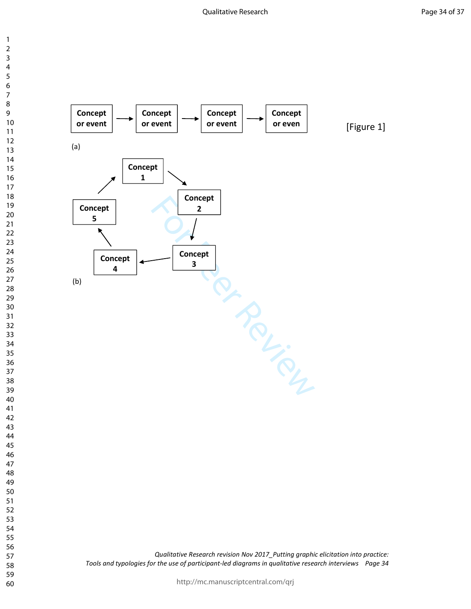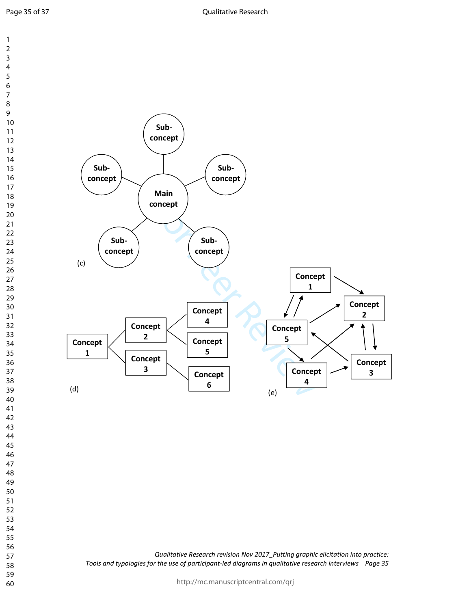Page 35 of 37



http://mc.manuscriptcentral.com/qrj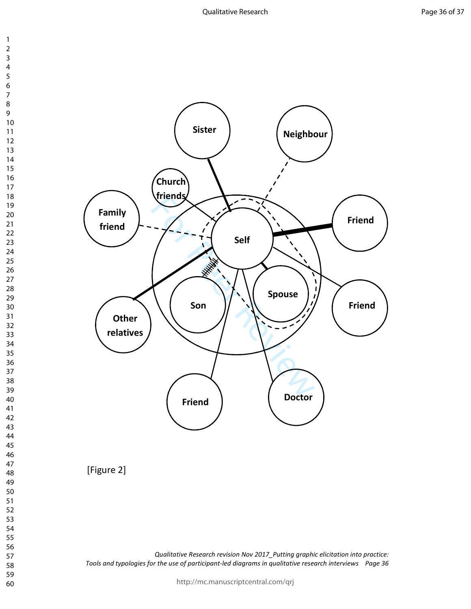



*Qualitative Research revision Nov 2017\_Putting graphic elicitation into practice: Tools and typologies for the use of participant-led diagrams in qualitative research interviews Page 36* 

http://mc.manuscriptcentral.com/qrj